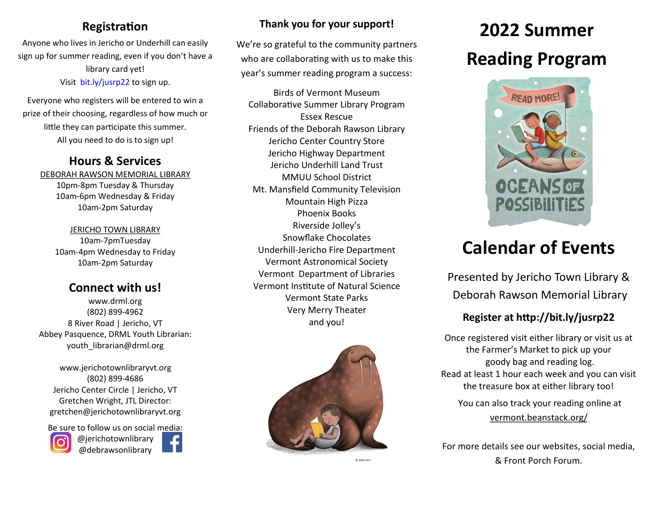#### **Registration**

Anyone who lives in Jericho or Underhill can easily sign up for summer reading, even if you don't have a library card yet! Visit bit.ly/jusrp22 to sign up.

Everyone who registers will be entered to win a prize of their choosing, regardless of how much or little they can participate this summer. All you need to do is to sign up!

#### **Hours & Services**

DEBORAH RAWSON MEMORIAL LIBRARY 10pm-8pm Tuesday & Thursday 10am-6pm Wednesday & Friday 10am-2pm Saturday

> JERICHO TOWN LIBRARY 10am-7pmTuesday 10am-4pm Wednesday to Friday 10am-2pm Saturday

#### **Connect with us!**

www.drml.org (802) 899-4962 8 River Road | Jericho, VT Abbey Pasquence, DRML Youth Librarian: youth\_librarian@drml.org

www.jerichotownlibraryvt.org (802) 899-4686 Jericho Center Circle | Jericho, VT Gretchen Wright, JTL Director: gretchen@jerichotownlibraryvt.org

Be sure to follow us on social media: @jerichotownlibrary





#### **Thank you for your support!**

We're so grateful to the community partners who are collaborating with us to make this year's summer reading program a success:

Birds of Vermont Museum Collaborative Summer Library Program Essex Rescue Friends of the Deborah Rawson Library Jericho Center Country Store Jericho Highway Department Jericho Underhill Land Trust MMUU School District Mt. Mansfield Community Television Mountain High Pizza Phoenix Books Riverside Jolley's Snowflake Chocolates Underhill-Jericho Fire Department Vermont Astronomical Society Vermont Department of Libraries Vermont Institute of Natural Science Vermont State Parks Very Merry Theater and you!



@ 2022 CSLP

# **2022 Summer Reading Program**



## **Calendar of Events**

Presented by Jericho Town Library & Deborah Rawson Memorial Library

#### **Register at http://bit.ly/jusrp22**

Once registered visit either library or visit us at the Farmer's Market to pick up your goody bag and reading log. Read at least 1 hour each week and you can visit the treasure box at either library too!

You can also track your reading online at vermont.beanstack.org/

For more details see our websites, social media, & Front Porch Forum.